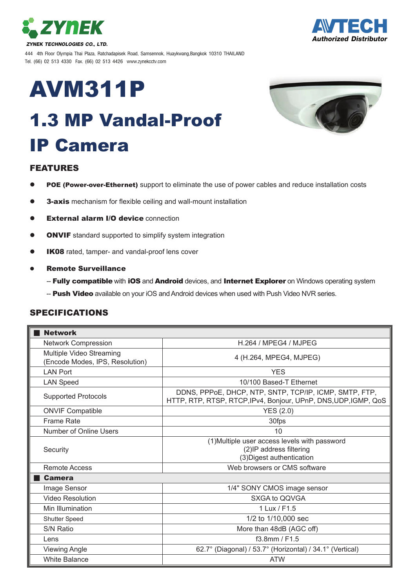



444 4th Floor Olympia Thai Plaza, Ratchadapisek Road, Samsennok, Huaykwang,Bangkok 10310 THAILAND Tel. (66) 02 513 4330 Fax. (66) 02 513 4426 www.zynekcctv.com

# AVM311P

## 1.3 MP Vandal-Proof IP Camera



#### FEATURES

- POE (Power-over-Ethernet) support to eliminate the use of power cables and reduce installation costs
- **3-axis** mechanism for flexible ceiling and wall-mount installation
- **External alarm I/O device connection**
- **ONVIF** standard supported to simplify system integration
- **IK08** rated, tamper- and vandal-proof lens cover
- Remote Surveillance
	- -- Fully compatible with iOS and Android devices, and Internet Explorer on Windows operating system
	- -- Push Video available on your iOS and Android devices when used with Push Video NVR series.

#### SPECIFICATIONS

| <b>Network</b>                                              |                                                                                                                           |  |
|-------------------------------------------------------------|---------------------------------------------------------------------------------------------------------------------------|--|
| <b>Network Compression</b>                                  | H.264 / MPEG4 / MJPEG                                                                                                     |  |
| Multiple Video Streaming<br>(Encode Modes, IPS, Resolution) | 4 (H.264, MPEG4, MJPEG)                                                                                                   |  |
| <b>LAN Port</b>                                             | <b>YES</b>                                                                                                                |  |
| <b>LAN Speed</b>                                            | 10/100 Based-T Ethernet                                                                                                   |  |
| <b>Supported Protocols</b>                                  | DDNS, PPPoE, DHCP, NTP, SNTP, TCP/IP, ICMP, SMTP, FTP,<br>HTTP, RTP, RTSP, RTCP, IPv4, Bonjour, UPnP, DNS, UDP, IGMP, QoS |  |
| <b>ONVIF Compatible</b>                                     | YES(2.0)                                                                                                                  |  |
| <b>Frame Rate</b>                                           | 30fps                                                                                                                     |  |
| Number of Online Users                                      | 10                                                                                                                        |  |
| Security                                                    | (1) Multiple user access levels with password<br>(2) IP address filtering<br>(3) Digest authentication                    |  |
| Remote Access                                               | Web browsers or CMS software                                                                                              |  |
| <b>Camera</b>                                               |                                                                                                                           |  |
| Image Sensor                                                | 1/4" SONY CMOS image sensor                                                                                               |  |
| <b>Video Resolution</b>                                     | SXGA to QQVGA                                                                                                             |  |
| Min Illumination                                            | 1 Lux / F1.5                                                                                                              |  |
| Shutter Speed                                               | 1/2 to 1/10,000 sec                                                                                                       |  |
| <b>S/N Ratio</b>                                            | More than 48dB (AGC off)                                                                                                  |  |
| Lens                                                        | $f3.8$ mm / F1.5                                                                                                          |  |
| <b>Viewing Angle</b>                                        | 62.7° (Diagonal) / 53.7° (Horizontal) / 34.1° (Vertical)                                                                  |  |
| <b>White Balance</b>                                        | <b>ATW</b>                                                                                                                |  |